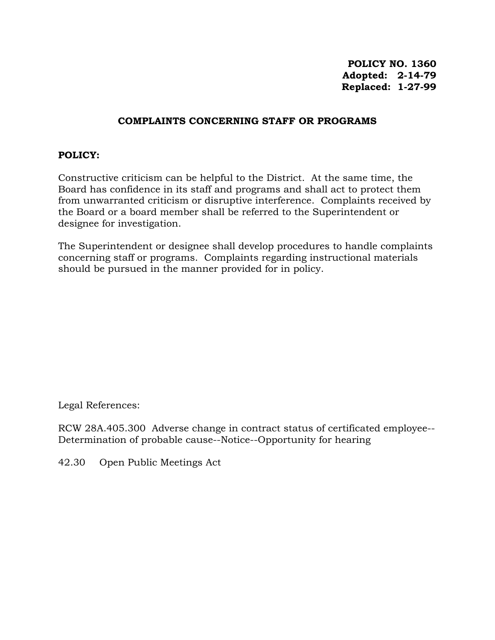**POLICY NO. 1360 Adopted: 2-14-79 Replaced: 1-27-99**

## **COMPLAINTS CONCERNING STAFF OR PROGRAMS**

## **POLICY:**

Constructive criticism can be helpful to the District. At the same time, the Board has confidence in its staff and programs and shall act to protect them from unwarranted criticism or disruptive interference. Complaints received by the Board or a board member shall be referred to the Superintendent or designee for investigation.

The Superintendent or designee shall develop procedures to handle complaints concerning staff or programs. Complaints regarding instructional materials should be pursued in the manner provided for in policy.

Legal References:

RCW 28A.405.300 Adverse change in contract status of certificated employee-- Determination of probable cause--Notice--Opportunity for hearing

42.30 Open Public Meetings Act